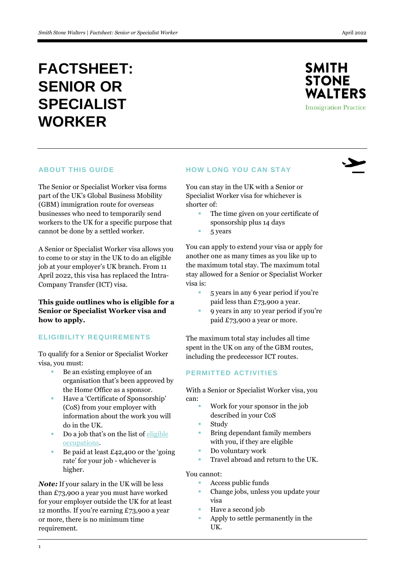# **FACTSHEET: SENIOR OR SPECIALIST WORKER**



 $\blacktriangleright$ 

### **ABOUT THIS GUIDE**

The Senior or Specialist Worker visa forms part of the UK's Global Business Mobility (GBM) immigration route for overseas businesses who need to temporarily send workers to the UK for a specific purpose that cannot be done by a settled worker.

A Senior or Specialist Worker visa allows you to come to or stay in the UK to do an eligible job at your employer's UK branch. From 11 April 2022, this visa has replaced the Intra-Company Transfer (ICT) visa.

**This guide outlines who is eligible for a Senior or Specialist Worker visa and how to apply.**

## **ELIGIBILITY REQUIREMENTS**

To qualify for a Senior or Specialist Worker visa, you must:

- Be an existing employee of an organisation that's been approved by the Home Office as a sponsor.
- Have a 'Certificate of Sponsorship' (CoS) from your employer with information about the work you will do in the UK.
- Do a job that's on the list of  $ell$ [occupations.](https://www.gov.uk/government/publications/global-business-mobility-eligible-occupations-and-codes)
- Be paid at least £42,400 or the 'going rate' for your job - whichever is higher.

*Note:* If your salary in the UK will be less than £73,900 a year you must have worked for your employer outside the UK for at least 12 months. If you're earning £73,900 a year or more, there is no minimum time requirement.

#### **HOW LONG YOU CAN STAY**

You can stay in the UK with a Senior or Specialist Worker visa for whichever is shorter of:

- The time given on your certificate of sponsorship plus 14 days
- 5 years

You can apply to extend your visa or apply for another one as many times as you like up to the maximum total stay. The maximum total stay allowed for a Senior or Specialist Worker visa is:

- 5 years in any 6 year period if you're paid less than £73,900 a year.
- 9 years in any 10 year period if you're paid £73,900 a year or more.

The maximum total stay includes all time spent in the UK on any of the GBM routes, including the predecessor ICT routes.

## **PERMITTED ACTIVITIES**

With a Senior or Specialist Worker visa, you can:

- Work for your sponsor in the job
- described in your CoS
- Study
- Bring dependant family members with you, if they are eligible
- Do voluntary work
- Travel abroad and return to the UK.

#### You cannot:

- Access public funds
- Change jobs, unless you update your visa
- Have a second job
- Apply to settle permanently in the UK.

1